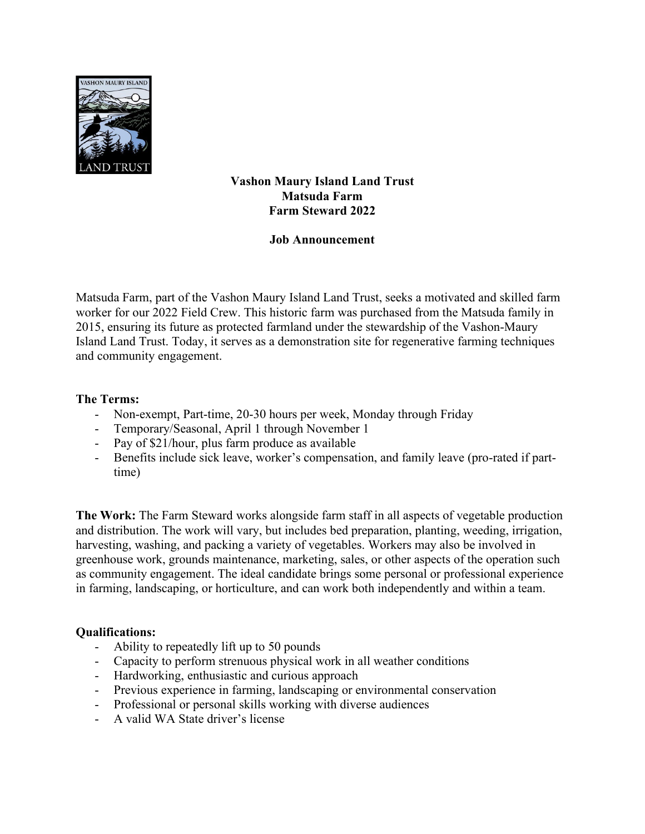

## **Vashon Maury Island Land Trust Matsuda Farm Farm Steward 2022**

## **Job Announcement**

Matsuda Farm, part of the Vashon Maury Island Land Trust, seeks a motivated and skilled farm worker for our 2022 Field Crew. This historic farm was purchased from the Matsuda family in 2015, ensuring its future as protected farmland under the stewardship of the Vashon-Maury Island Land Trust. Today, it serves as a demonstration site for regenerative farming techniques and community engagement.

## **The Terms:**

- Non-exempt, Part-time, 20-30 hours per week, Monday through Friday
- Temporary/Seasonal, April 1 through November 1
- Pay of \$21/hour, plus farm produce as available
- Benefits include sick leave, worker's compensation, and family leave (pro-rated if parttime)

**The Work:** The Farm Steward works alongside farm staff in all aspects of vegetable production and distribution. The work will vary, but includes bed preparation, planting, weeding, irrigation, harvesting, washing, and packing a variety of vegetables. Workers may also be involved in greenhouse work, grounds maintenance, marketing, sales, or other aspects of the operation such as community engagement. The ideal candidate brings some personal or professional experience in farming, landscaping, or horticulture, and can work both independently and within a team.

## **Qualifications:**

- Ability to repeatedly lift up to 50 pounds
- Capacity to perform strenuous physical work in all weather conditions
- Hardworking, enthusiastic and curious approach
- Previous experience in farming, landscaping or environmental conservation
- Professional or personal skills working with diverse audiences
- A valid WA State driver's license